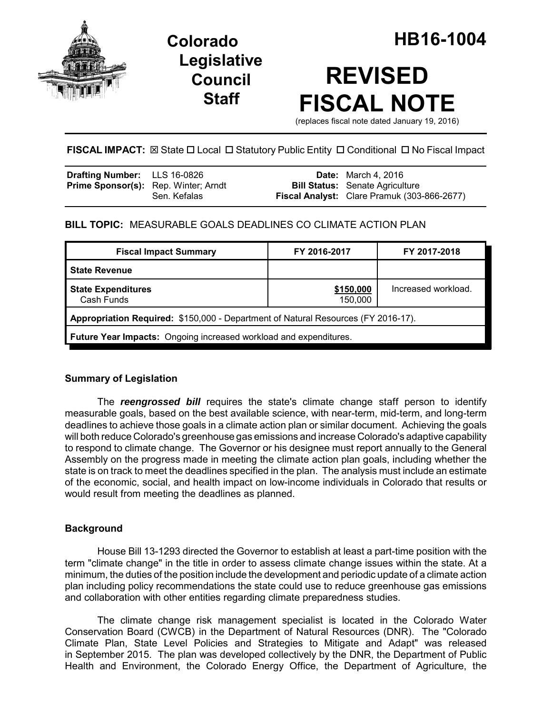

## **Legislative Council Staff**

# **REVISED FISCAL NOTE**

(replaces fiscal note dated January 19, 2016)

## **FISCAL IMPACT:**  $\boxtimes$  State  $\Box$  Local  $\Box$  Statutory Public Entity  $\Box$  Conditional  $\Box$  No Fiscal Impact

| <b>Drafting Number:</b> LLS 16-0826         |              | <b>Date:</b> March 4, 2016                         |
|---------------------------------------------|--------------|----------------------------------------------------|
| <b>Prime Sponsor(s):</b> Rep. Winter; Arndt |              | <b>Bill Status:</b> Senate Agriculture             |
|                                             | Sen. Kefalas | <b>Fiscal Analyst:</b> Clare Pramuk (303-866-2677) |

## **BILL TOPIC:** MEASURABLE GOALS DEADLINES CO CLIMATE ACTION PLAN

| <b>Fiscal Impact Summary</b>                                                      | FY 2016-2017         | FY 2017-2018        |  |  |  |
|-----------------------------------------------------------------------------------|----------------------|---------------------|--|--|--|
| <b>State Revenue</b>                                                              |                      |                     |  |  |  |
| <b>State Expenditures</b><br>Cash Funds                                           | \$150,000<br>150,000 | Increased workload. |  |  |  |
| Appropriation Required: \$150,000 - Department of Natural Resources (FY 2016-17). |                      |                     |  |  |  |
| Future Year Impacts: Ongoing increased workload and expenditures.                 |                      |                     |  |  |  |

## **Summary of Legislation**

The *reengrossed bill* requires the state's climate change staff person to identify measurable goals, based on the best available science, with near-term, mid-term, and long-term deadlines to achieve those goals in a climate action plan or similar document. Achieving the goals will both reduce Colorado's greenhouse gas emissions and increase Colorado's adaptive capability to respond to climate change. The Governor or his designee must report annually to the General Assembly on the progress made in meeting the climate action plan goals, including whether the state is on track to meet the deadlines specified in the plan. The analysis must include an estimate of the economic, social, and health impact on low-income individuals in Colorado that results or would result from meeting the deadlines as planned.

## **Background**

House Bill 13-1293 directed the Governor to establish at least a part-time position with the term "climate change" in the title in order to assess climate change issues within the state. At a minimum, the duties of the position include the development and periodic update of a climate action plan including policy recommendations the state could use to reduce greenhouse gas emissions and collaboration with other entities regarding climate preparedness studies.

The climate change risk management specialist is located in the Colorado Water Conservation Board (CWCB) in the Department of Natural Resources (DNR). The "Colorado Climate Plan, State Level Policies and Strategies to Mitigate and Adapt" was released in September 2015. The plan was developed collectively by the DNR, the Department of Public Health and Environment, the Colorado Energy Office, the Department of Agriculture, the